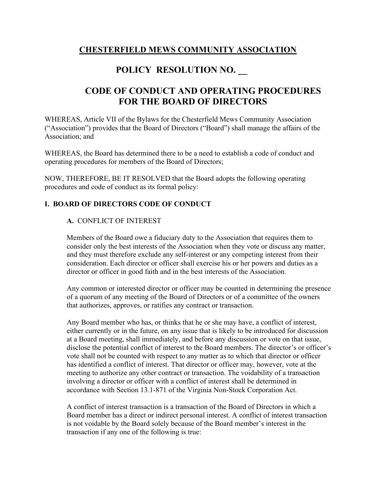### **CHESTERFIELD MEWS COMMUNITY ASSOCIATION**

# **POLICY RESOLUTION NO. \_\_**

# **CODE OF CONDUCT AND OPERATING PROCEDURES FOR THE BOARD OF DIRECTORS**

WHEREAS, Article VII of the Bylaws for the Chesterfield Mews Community Association ("Association") provides that the Board of Directors ("Board") shall manage the affairs of the Association; and

WHEREAS, the Board has determined there to be a need to establish a code of conduct and operating procedures for members of the Board of Directors;

NOW, THEREFORE, BE IT RESOLVED that the Board adopts the following operating procedures and code of conduct as its formal policy:

### **I. BOARD OF DIRECTORS CODE OF CONDUCT**

#### **A.** CONFLICT OF INTEREST

Members of the Board owe a fiduciary duty to the Association that requires them to consider only the best interests of the Association when they vote or discuss any matter, and they must therefore exclude any self-interest or any competing interest from their consideration. Each director or officer shall exercise his or her powers and duties as a director or officer in good faith and in the best interests of the Association.

Any common or interested director or officer may be counted in determining the presence of a quorum of any meeting of the Board of Directors or of a committee of the owners that authorizes, approves, or ratifies any contract or transaction.

Any Board member who has, or thinks that he or she may have, a conflict of interest, either currently or in the future, on any issue that is likely to be introduced for discussion at a Board meeting, shall immediately, and before any discussion or vote on that issue, disclose the potential conflict of interest to the Board members. The director's or officer's vote shall not be counted with respect to any matter as to which that director or officer has identified a conflict of interest. That director or officer may, however, vote at the meeting to authorize any other contract or transaction. The voidability of a transaction involving a director or officer with a conflict of interest shall be determined in accordance with Section 13.1-871 of the Virginia Non-Stock Corporation Act.

A conflict of interest transaction is a transaction of the Board of Directors in which a Board member has a direct or indirect personal interest. A conflict of interest transaction is not voidable by the Board solely because of the Board member's interest in the transaction if any one of the following is true: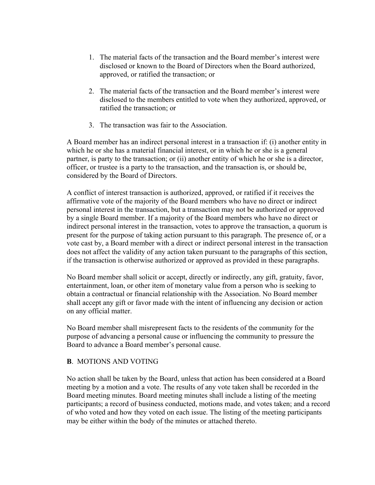- 1. The material facts of the transaction and the Board member's interest were disclosed or known to the Board of Directors when the Board authorized, approved, or ratified the transaction; or
- 2. The material facts of the transaction and the Board member's interest were disclosed to the members entitled to vote when they authorized, approved, or ratified the transaction; or
- 3. The transaction was fair to the Association.

A Board member has an indirect personal interest in a transaction if: (i) another entity in which he or she has a material financial interest, or in which he or she is a general partner, is party to the transaction; or (ii) another entity of which he or she is a director, officer, or trustee is a party to the transaction, and the transaction is, or should be, considered by the Board of Directors.

A conflict of interest transaction is authorized, approved, or ratified if it receives the affirmative vote of the majority of the Board members who have no direct or indirect personal interest in the transaction, but a transaction may not be authorized or approved by a single Board member. If a majority of the Board members who have no direct or indirect personal interest in the transaction, votes to approve the transaction, a quorum is present for the purpose of taking action pursuant to this paragraph. The presence of, or a vote cast by, a Board member with a direct or indirect personal interest in the transaction does not affect the validity of any action taken pursuant to the paragraphs of this section, if the transaction is otherwise authorized or approved as provided in these paragraphs.

No Board member shall solicit or accept, directly or indirectly, any gift, gratuity, favor, entertainment, loan, or other item of monetary value from a person who is seeking to obtain a contractual or financial relationship with the Association. No Board member shall accept any gift or favor made with the intent of influencing any decision or action on any official matter.

No Board member shall misrepresent facts to the residents of the community for the purpose of advancing a personal cause or influencing the community to pressure the Board to advance a Board member's personal cause.

#### **B**. MOTIONS AND VOTING

No action shall be taken by the Board, unless that action has been considered at a Board meeting by a motion and a vote. The results of any vote taken shall be recorded in the Board meeting minutes. Board meeting minutes shall include a listing of the meeting participants; a record of business conducted, motions made, and votes taken; and a record of who voted and how they voted on each issue. The listing of the meeting participants may be either within the body of the minutes or attached thereto.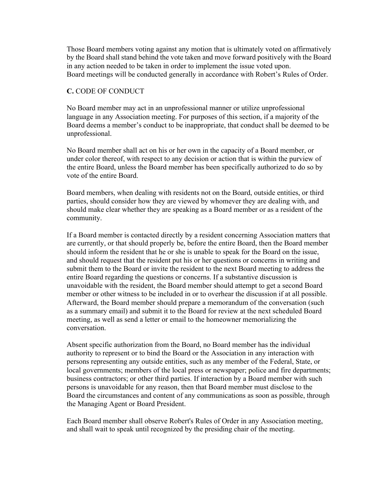Those Board members voting against any motion that is ultimately voted on affirmatively by the Board shall stand behind the vote taken and move forward positively with the Board in any action needed to be taken in order to implement the issue voted upon. Board meetings will be conducted generally in accordance with Robert's Rules of Order.

#### **C.** CODE OF CONDUCT

No Board member may act in an unprofessional manner or utilize unprofessional language in any Association meeting. For purposes of this section, if a majority of the Board deems a member's conduct to be inappropriate, that conduct shall be deemed to be unprofessional.

No Board member shall act on his or her own in the capacity of a Board member, or under color thereof, with respect to any decision or action that is within the purview of the entire Board, unless the Board member has been specifically authorized to do so by vote of the entire Board.

Board members, when dealing with residents not on the Board, outside entities, or third parties, should consider how they are viewed by whomever they are dealing with, and should make clear whether they are speaking as a Board member or as a resident of the community.

If a Board member is contacted directly by a resident concerning Association matters that are currently, or that should properly be, before the entire Board, then the Board member should inform the resident that he or she is unable to speak for the Board on the issue, and should request that the resident put his or her questions or concerns in writing and submit them to the Board or invite the resident to the next Board meeting to address the entire Board regarding the questions or concerns. If a substantive discussion is unavoidable with the resident, the Board member should attempt to get a second Board member or other witness to be included in or to overhear the discussion if at all possible. Afterward, the Board member should prepare a memorandum of the conversation (such as a summary email) and submit it to the Board for review at the next scheduled Board meeting, as well as send a letter or email to the homeowner memorializing the conversation.

Absent specific authorization from the Board, no Board member has the individual authority to represent or to bind the Board or the Association in any interaction with persons representing any outside entities, such as any member of the Federal, State, or local governments; members of the local press or newspaper; police and fire departments; business contractors; or other third parties. If interaction by a Board member with such persons is unavoidable for any reason, then that Board member must disclose to the Board the circumstances and content of any communications as soon as possible, through the Managing Agent or Board President.

Each Board member shall observe Robert's Rules of Order in any Association meeting, and shall wait to speak until recognized by the presiding chair of the meeting.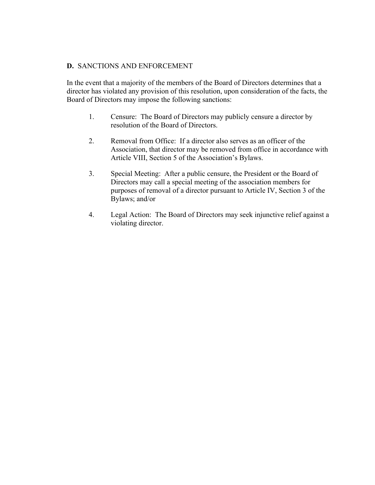#### **D.** SANCTIONS AND ENFORCEMENT

In the event that a majority of the members of the Board of Directors determines that a director has violated any provision of this resolution, upon consideration of the facts, the Board of Directors may impose the following sanctions:

- 1. Censure: The Board of Directors may publicly censure a director by resolution of the Board of Directors.
- 2. Removal from Office: If a director also serves as an officer of the Association, that director may be removed from office in accordance with Article VIII, Section 5 of the Association's Bylaws.
- 3. Special Meeting: After a public censure, the President or the Board of Directors may call a special meeting of the association members for purposes of removal of a director pursuant to Article IV, Section 3 of the Bylaws; and/or
- 4. Legal Action: The Board of Directors may seek injunctive relief against a violating director.